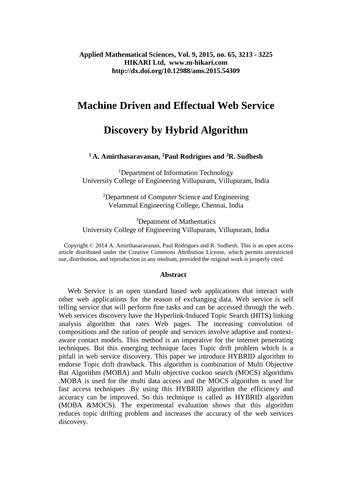## **Applied Mathematical Sciences, Vol. 9, 2015, no. 65, 3213 - 3225 HIKARI Ltd, www.m-hikari.com http://dx.doi.org/10.12988/ams.2015.54309**

# **Machine Driven and Effectual Web Service**

# **Discovery by Hybrid Algorithm**

#### **<sup>1</sup>A. Amirthasaravanan, <sup>2</sup>Paul Rodrigues and <sup>3</sup>R. Sudhesh**

<sup>1</sup>Department of Information Technology University College of Engineering Villupuram, Villupuram, India

> <sup>2</sup>Department of Computer Science and Engineering Velammal Engineering College, Chennai, India

<sup>3</sup>Depatment of Mathematics University College of Engineering Villupuram, Villupuram, India

 Copyright © 2014 A. Amirthasaravanan, Paul Rodrigues and R. Sudhesh. This is an open access article distributed under the Creative Commons Attribution License, which permits unrestricted use, distribution, and reproduction in any medium, provided the original work is properly cited.

#### **Abstract**

 Web Service is an open standard based web applications that interact with other web applications for the reason of exchanging data. Web service is self telling service that will perform fine tasks and can be accessed through the web. Web services discovery have the Hyperlink-Induced Topic Search (HITS) linking analysis algorithm that rates Web pages. The increasing convolution of compositions and the ration of people and services involve adaptive and contextaware contact models. This method is an imperative for the internet penetrating techniques. But this emerging technique faces Topic drift problem which is a pitfall in web service discovery. This paper we introduce HYBRID algorithm to endorse Topic drift drawback. This algorithm is combination of Multi Objective Bat Algorithm (MOBA) and Multi objective cuckoo search (MOCS) algorithms .MOBA is used for the multi data access and the MOCS algorithm is used for fast access techniques .By using this HYBRID algorithm the efficiency and accuracy can be improved. So this technique is called as HYBRID algorithm (MOBA &MOCS). The experimental evaluation shows that this algorithm reduces topic drifting problem and increases the accuracy of the web services discovery.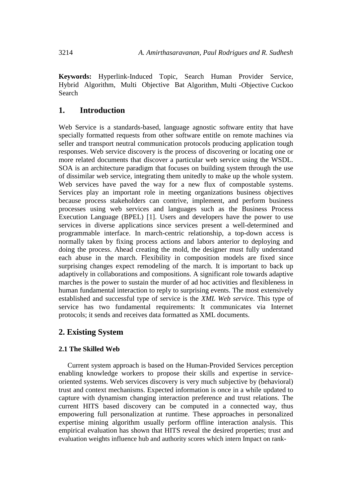**Keywords:** Hyperlink-Induced Topic, Search Human Provider Service, Hybrid Algorithm, Multi Objective Bat Algorithm, Multi -Objective Cuckoo Search

## **1. Introduction**

Web Service is a standards-based, language agnostic software entity that have specially formatted requests from other software entitle on remote machines via seller and transport neutral communication protocols producing application tough responses. Web service discovery is the process of discovering or locating one or more related documents that discover a particular web service using the WSDL. SOA is an architecture paradigm that focuses on building system through the use of dissimilar web service, integrating them unitedly to make up the whole system. Web services have paved the way for a new flux of compostable systems. Services play an important role in meeting organizations business objectives because process stakeholders can contrive, implement, and perform business processes using web services and languages such as the Business Process Execution Language (BPEL) [1]. Users and developers have the power to use services in diverse applications since services present a well-determined and programmable interface. In march-centric relationship, a top-down access is normally taken by fixing process actions and labors anterior to deploying and doing the process. Ahead creating the mold, the designer must fully understand each abuse in the march. Flexibility in composition models are fixed since surprising changes expect remodeling of the march. It is important to back up adaptively in collaborations and compositions. A significant role towards adaptive marches is the power to sustain the murder of ad hoc activities and flexibleness in human fundamental interaction to reply to surprising events. The most extensively established and successful type of service is the *XML Web servic*e. This type of service has two fundamental requirements: It communicates via Internet protocols; it sends and receives data formatted as XML documents.

## **2. Existing System**

### **2.1 The Skilled Web**

Current system approach is based on the Human-Provided Services perception enabling knowledge workers to propose their skills and expertise in serviceoriented systems. Web services discovery is very much subjective by (behavioral) trust and context mechanisms. Expected information is once in a while updated to capture with dynamism changing interaction preference and trust relations. The current HITS based discovery can be computed in a connected way, thus empowering full personalization at runtime. These approaches in personalized expertise mining algorithm usually perform offline interaction analysis. This empirical evaluation has shown that HITS reveal the desired properties; trust and evaluation weights influence hub and authority scores which intern Impact on rank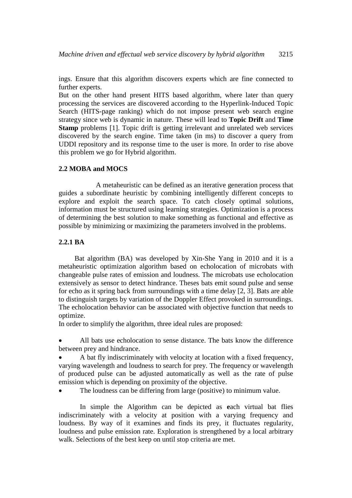ings. Ensure that this algorithm discovers experts which are fine connected to further experts.

But on the other hand present HITS based algorithm, where later than query processing the services are discovered according to the Hyperlink-Induced Topic Search (HITS-page ranking) which do not impose present web search engine strategy since web is dynamic in nature. These will lead to **Topic Drift** and **Time Stamp** problems [1]. Topic drift is getting irrelevant and unrelated web services discovered by the search engine. Time taken (in ms) to discover a query from UDDI repository and its response time to the user is more. In order to rise above this problem we go for Hybrid algorithm.

#### **2.2 MOBA and MOCS**

A metaheuristic can be defined as an iterative generation process that guides a subordinate heuristic by combining intelligently different concepts to explore and exploit the search space. To catch closely optimal solutions, information must be structured using learning strategies. Optimization is a process of determining the best solution to make something as functional and effective as possible by minimizing or maximizing the parameters involved in the problems.

#### **2.2.1 BA**

Bat algorithm (BA) was developed by Xin-She Yang in 2010 and it is a metaheuristic optimization algorithm based on echolocation of microbats with changeable pulse rates of emission and loudness. The microbats use echolocation extensively as sensor to detect hindrance. Theses bats emit sound pulse and sense for echo as it spring back from surroundings with a time delay [2, 3]. Bats are able to distinguish targets by variation of the Doppler Effect provoked in surroundings. The echolocation behavior can be associated with objective function that needs to optimize.

In order to simplify the algorithm, three ideal rules are proposed:

 All bats use echolocation to sense distance. The bats know the difference between prey and hindrance.

 A bat fly indiscriminately with velocity at location with a fixed frequency, varying wavelength and loudness to search for prey. The frequency or wavelength of produced pulse can be adjusted automatically as well as the rate of pulse emission which is depending on proximity of the objective.

The loudness can be differing from large (positive) to minimum value.

In simple the Algorithm can be depicted as **e**ach virtual bat flies indiscriminately with a velocity at position with a varying frequency and loudness. By way of it examines and finds its prey, it fluctuates regularity, loudness and pulse emission rate. Exploration is strengthened by a local arbitrary walk. Selections of the best keep on until stop criteria are met.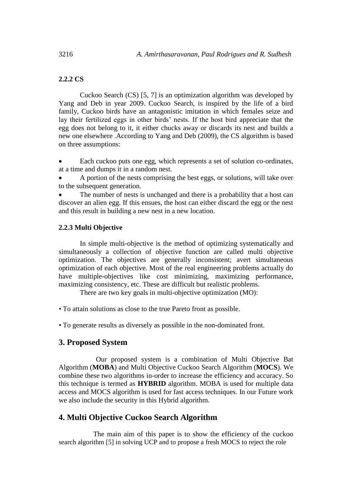## **2.2.2 CS**

Cuckoo Search (CS) [5, 7] is an optimization algorithm was developed by Yang and Deb in year 2009. Cuckoo Search, is inspired by the life of a bird family, Cuckoo birds have an antagonistic imitation in which females seize and lay their fertilized eggs in other birds' nests. If the host bird appreciate that the egg does not belong to it, it either chucks away or discards its nest and builds a new one elsewhere .According to Yang and Deb (2009), the CS algorithm is based on three assumptions:

 Each cuckoo puts one egg, which represents a set of solution co-ordinates, at a time and dumps it in a random nest.

 A portion of the nests comprising the best eggs, or solutions, will take over to the subsequent generation.

 The number of nests is unchanged and there is a probability that a host can discover an alien egg. If this ensues, the host can either discard the egg or the nest and this result in building a new nest in a new location.

#### **2.2.3 Multi Objective**

In simple multi-objective is the method of optimizing systematically and simultaneously a collection of objective function are called multi objective optimization. The objectives are generally inconsistent; avert simultaneous optimization of each objective. Most of the real engineering problems actually do have multiple-objectives like cost minimizing, maximizing performance, maximizing consistency, etc. These are difficult but realistic problems.

There are two key goals in multi-objective optimization (MO):

*•* To attain solutions as close to the true Pareto front as possible.

*•* To generate results as diversely as possible in the non-dominated front.

## **3. Proposed System**

Our proposed system is a combination of Multi Objective Bat Algorithm (**MOBA**) and Multi Objective Cuckoo Search Algorithm (**MOCS**). We combine these two algorithms in-order to increase the efficiency and accuracy. So this technique is termed as **HYBRID** algorithm. MOBA is used for multiple data access and MOCS algorithm is used for fast access techniques. In our Future work we also include the security in this Hybrid algorithm.

## **4. Multi Objective Cuckoo Search Algorithm**

The main aim of this paper is to show the efficiency of the cuckoo search algorithm [5] in solving UCP and to propose a fresh MOCS to reject the role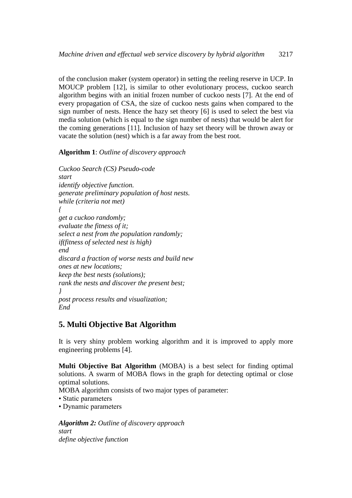of the conclusion maker (system operator) in setting the reeling reserve in UCP. In MOUCP problem [12], is similar to other evolutionary process, cuckoo search algorithm begins with an initial frozen number of cuckoo nests [7]. At the end of every propagation of CSA, the size of cuckoo nests gains when compared to the sign number of nests. Hence the hazy set theory [6] is used to select the best via media solution (which is equal to the sign number of nests) that would be alert for the coming generations [11]. Inclusion of hazy set theory will be thrown away or vacate the solution (nest) which is a far away from the best root.

### **Algorithm 1**: *Outline of discovery approach*

*Cuckoo Search (CS) Pseudo-code start identify objective function. generate preliminary population of host nests. while (criteria not met) { get a cuckoo randomly; evaluate the fitness of it; select a nest from the population randomly; if(fitness of selected nest is high) end discard a fraction of worse nests and build new ones at new locations; keep the best nests (solutions); rank the nests and discover the present best; } post process results and visualization; End*

## **5. Multi Objective Bat Algorithm**

It is very shiny problem working algorithm and it is improved to apply more engineering problems [4].

**Multi Objective Bat Algorithm** (MOBA) is a best select for finding optimal solutions. A swarm of MOBA flows in the graph for detecting optimal or close optimal solutions.

MOBA algorithm consists of two major types of parameter:

• Static parameters

• Dynamic parameters

*Algorithm 2: Outline of discovery approach start define objective function*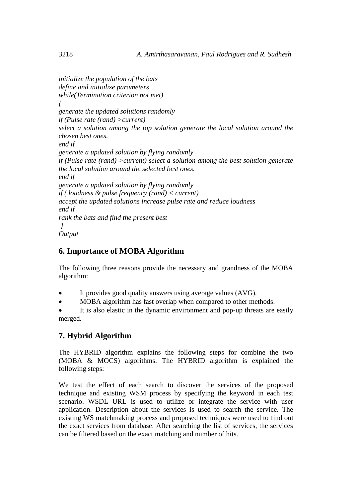```
initialize the population of the bats
define and initialize parameters
while(Termination criterion not met)
{
generate the updated solutions randomly
if (Pulse rate (rand) >current)
select a solution among the top solution generate the local solution around the 
chosen best ones.
end if
generate a updated solution by flying randomly
if (Pulse rate (rand) >current) select a solution among the best solution generate 
the local solution around the selected best ones. 
end if 
generate a updated solution by flying randomly
if ( loudness & pulse frequency (rand) < current) 
accept the updated solutions increase pulse rate and reduce loudness 
end if 
rank the bats and find the present best
}
Output
```
## **6. Importance of MOBA Algorithm**

The following three reasons provide the necessary and grandness of the MOBA algorithm:

- It provides good quality answers using average values (AVG).
- MOBA algorithm has fast overlap when compared to other methods.

 It is also elastic in the dynamic environment and pop-up threats are easily merged.

## **7. Hybrid Algorithm**

The HYBRID algorithm explains the following steps for combine the two (MOBA & MOCS) algorithms. The HYBRID algorithm is explained the following steps:

We test the effect of each search to discover the services of the proposed technique and existing WSM process by specifying the keyword in each test scenario. WSDL URL is used to utilize or integrate the service with user application. Description about the services is used to search the service. The existing WS matchmaking process and proposed techniques were used to find out the exact services from database. After searching the list of services, the services can be filtered based on the exact matching and number of hits.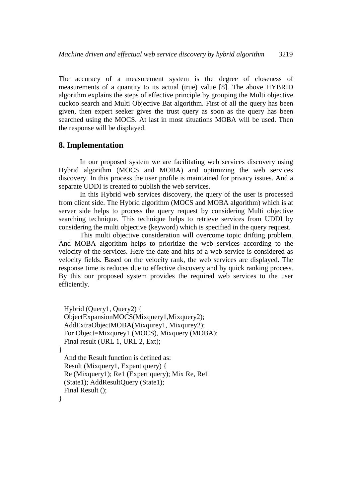The accuracy of a measurement system is the degree of closeness of measurements of a quantity to its actual (true) value [8]. The above HYBRID algorithm explains the steps of effective principle by grouping the Multi objective cuckoo search and Multi Objective Bat algorithm. First of all the query has been given, then expert seeker gives the trust query as soon as the query has been searched using the MOCS. At last in most situations MOBA will be used. Then the response will be displayed.

### **8. Implementation**

In our proposed system we are facilitating web services discovery using Hybrid algorithm (MOCS and MOBA) and optimizing the web services discovery. In this process the user profile is maintained for privacy issues. And a separate UDDI is created to publish the web services.

In this Hybrid web services discovery, the query of the user is processed from client side. The Hybrid algorithm (MOCS and MOBA algorithm) which is at server side helps to process the query request by considering Multi objective searching technique. This technique helps to retrieve services from UDDI by considering the multi objective (keyword) which is specified in the query request.

This multi objective consideration will overcome topic drifting problem. And MOBA algorithm helps to prioritize the web services according to the velocity of the services. Here the date and hits of a web service is considered as velocity fields. Based on the velocity rank, the web services are displayed. The response time is reduces due to effective discovery and by quick ranking process. By this our proposed system provides the required web services to the user efficiently.

```
 Hybrid (Query1, Query2) { 
 ObjectExpansionMOCS(Mixquery1,Mixquery2);
 AddExtraObjectMOBA(Mixqurey1, Mixqurey2); 
 For Object=Mixqurey1 (MOCS), Mixquery (MOBA);
 Final result (URL 1, URL 2, Ext); 
 And the Result function is defined as:
```
 Result (Mixquery1, Expant query) { Re (Mixquery1); Re1 (Expert query); Mix Re, Re1 (State1); AddResultQuery (State1); Final Result ();

}

}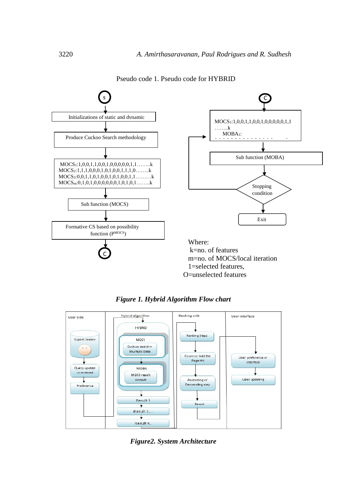

#### Pseudo code 1. Pseudo code for HYBRID



*Figure 1. Hybrid Algorithm Flow chart*

*Figure2. System Architecture*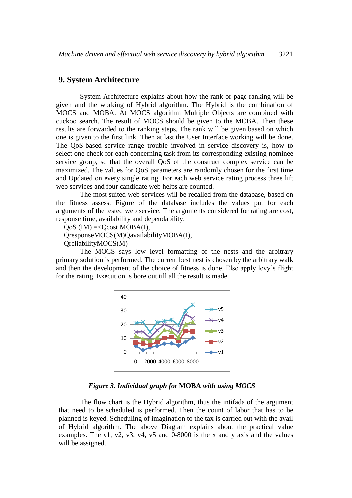### **9. System Architecture**

System Architecture explains about how the rank or page ranking will be given and the working of Hybrid algorithm. The Hybrid is the combination of MOCS and MOBA. At MOCS algorithm Multiple Objects are combined with cuckoo search. The result of MOCS should be given to the MOBA. Then these results are forwarded to the ranking steps. The rank will be given based on which one is given to the first link. Then at last the User Interface working will be done. The QoS-based service range trouble involved in service discovery is, how to select one check for each concerning task from its corresponding existing nominee service group, so that the overall QoS of the construct complex service can be maximized. The values for QoS parameters are randomly chosen for the first time and Updated on every single rating. For each web service rating process three lift web services and four candidate web helps are counted.

The most suited web services will be recalled from the database, based on the fitness assess. Figure of the database includes the values put for each arguments of the tested web service. The arguments considered for rating are cost, response time, availability and dependability.

 $QoS$  (IM) =< $Qcost$  MOBA(I),

QresponseMOCS(M)QavailabilityMOBA(I),

QreliabilityMOCS(M)

The MOCS says low level formatting of the nests and the arbitrary primary solution is performed. The current best nest is chosen by the arbitrary walk and then the development of the choice of fitness is done. Else apply levy's flight for the rating. Execution is bore out till all the result is made.



*Figure 3. Individual graph for* **MOBA** *with using MOCS*

The flow chart is the Hybrid algorithm, thus the intifada of the argument that need to be scheduled is performed. Then the count of labor that has to be planned is keyed. Scheduling of imagination to the tax is carried out with the avail of Hybrid algorithm. The above Diagram explains about the practical value examples. The v1, v2, v3, v4, v5 and 0-8000 is the x and y axis and the values will be assigned.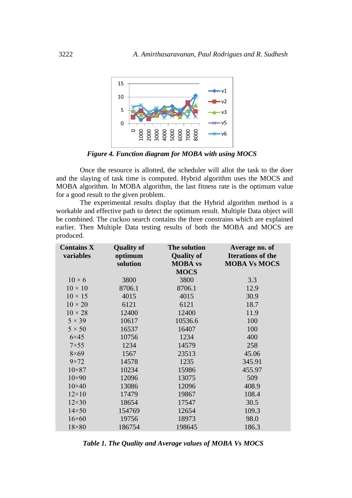

*Figure 4. Function diagram for MOBA with using MOCS*

Once the resource is allotted, the scheduler will allot the task to the doer and the slaying of task time is computed. Hybrid algorithm uses the MOCS and MOBA algorithm. In MOBA algorithm, the last fitness rate is the optimum value for a good result to the given problem.

The experimental results display that the Hybrid algorithm method is a workable and effective path to detect the optimum result. Multiple Data object will be combined. The cuckoo search contains the three constrains which are explained earlier. Then Multiple Data testing results of both the MOBA and MOCS are produced.

| <b>Contains X</b><br>variables | <b>Quality of</b><br>optimum<br>solution | The solution<br><b>Quality of</b><br><b>MOBA</b> vs | Average no. of<br><b>Iterations of the</b><br><b>MOBA Vs MOCS</b> |
|--------------------------------|------------------------------------------|-----------------------------------------------------|-------------------------------------------------------------------|
|                                |                                          | <b>MOCS</b>                                         |                                                                   |
| $10 \times 6$                  | 3800                                     | 3800                                                | 3.3                                                               |
| $10 \times 10$                 | 8706.1                                   | 8706.1                                              | 12.9                                                              |
| $10 \times 15$                 | 4015                                     | 4015                                                | 30.9                                                              |
| $10 \times 20$                 | 6121                                     | 6121                                                | 18.7                                                              |
| $10 \times 28$                 | 12400                                    | 12400                                               | 11.9                                                              |
| $5 \times 39$                  | 10617                                    | 10536.6                                             | 100                                                               |
| $5 \times 50$                  | 16537                                    | 16407                                               | 100                                                               |
| $6\times45$                    | 10756                                    | 1234                                                | 400                                                               |
| $7\times 55$                   | 1234                                     | 14579                                               | 258                                                               |
| $8\times 69$                   | 1567                                     | 23513                                               | 45.06                                                             |
| $9\times 72$                   | 14578                                    | 1235                                                | 345.91                                                            |
| $10\times87$                   | 10234                                    | 15986                                               | 455.97                                                            |
| $10\times 90$                  | 12096                                    | 13075                                               | 509                                                               |
| $10\times40$                   | 13086                                    | 12096                                               | 408.9                                                             |
| $12\times10$                   | 17479                                    | 19867                                               | 108.4                                                             |
| $12\times30$                   | 18654                                    | 17547                                               | 30.5                                                              |
| $14\times50$                   | 154769                                   | 12654                                               | 109.3                                                             |
| $16\times 60$                  | 19756                                    | 18973                                               | 98.0                                                              |
| $18\times80$                   | 186754                                   | 198645                                              | 186.3                                                             |

*Table 1. The Quality and Average values of MOBA Vs MOCS*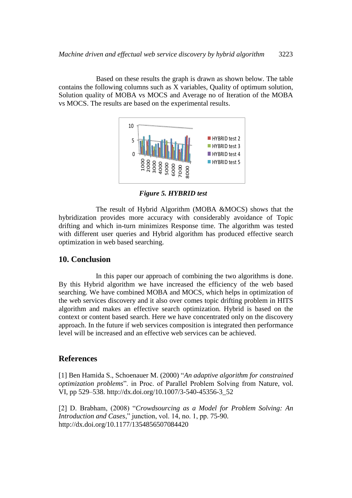Based on these results the graph is drawn as shown below. The table contains the following columns such as X variables, Quality of optimum solution, Solution quality of MOBA vs MOCS and Average no of Iteration of the MOBA vs MOCS. The results are based on the experimental results.



*Figure 5. HYBRID test*

The result of Hybrid Algorithm (MOBA &MOCS) shows that the hybridization provides more accuracy with considerably avoidance of Topic drifting and which in-turn minimizes Response time. The algorithm was tested with different user queries and Hybrid algorithm has produced effective search optimization in web based searching.

## **10. Conclusion**

In this paper our approach of combining the two algorithms is done. By this Hybrid algorithm we have increased the efficiency of the web based searching. We have combined MOBA and MOCS, which helps in optimization of the web services discovery and it also over comes topic drifting problem in HITS algorithm and makes an effective search optimization. Hybrid is based on the context or content based search. Here we have concentrated only on the discovery approach. In the future if web services composition is integrated then performance level will be increased and an effective web services can be achieved.

## **References**

[1] Ben Hamida S., Schoenauer M. (2000) "*An adaptive algorithm for constrained optimization problems*". in Proc. of Parallel Problem Solving from Nature, vol. VI, pp 529–538. [http://dx.doi.org/10.1007/3-540-45356-3\\_52](http://dx.doi.org/10.1007/3-540-45356-3_52) 

[2] D. Brabham, (2008) "*Crowdsourcing as a Model for Problem Solving: An Introduction and Cases*," junction, vol. 14, no. 1, pp. 75-90. <http://dx.doi.org/10.1177/1354856507084420>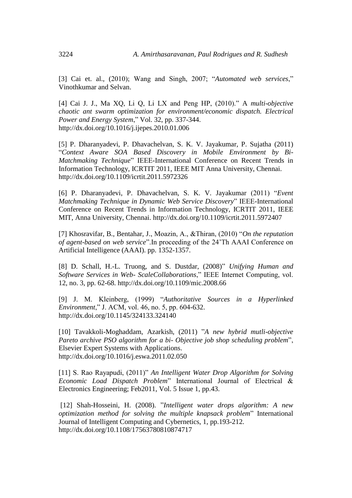[3] Cai et. al., (2010); Wang and Singh, 2007; "*Automated web services*," Vinothkumar and Selvan.

[4] Cai J. J., Ma XQ, Li Q, Li LX and Peng HP, (2010)." A *multi-objective chaotic ant swarm optimization for environment/economic dispatch. Electrical Power and Energy System*," Vol. 32, pp. 337-344. <http://dx.doi.org/10.1016/j.ijepes.2010.01.006>

[5] P. Dharanyadevi, P. Dhavachelvan, S. K. V. Jayakumar, P. Sujatha (2011) "*Context Aware SOA Based Discovery in Mobile Environment by Bi-Matchmaking Technique*" IEEE-International Conference on Recent Trends in Information Technology, ICRTIT 2011, IEEE MIT Anna University, Chennai. <http://dx.doi.org/10.1109/icrtit.2011.5972326>

[6] P. Dharanyadevi, P. Dhavachelvan, S. K. V. Jayakumar (2011) "*Event Matchmaking Technique in Dynamic Web Service Discovery*" IEEE-International Conference on Recent Trends in Information Technology, ICRTIT 2011, IEEE MIT, Anna University, Chennai. <http://dx.doi.org/10.1109/icrtit.2011.5972407>

[7] Khosravifar, B., Bentahar, J., Moazin, A., &Thiran, (2010) "*On the reputation of agent-based on web service*".In proceeding of the 24'Th AAAI Conference on Artificial Intelligence (AAAI). pp. 1352-1357.

[8] D. Schall, H.-L. Truong, and S. Dustdar, (2008)" *Unifying Human and Software Services in Web- ScaleCollaborations*," IEEE Internet Computing, vol. 12, no. 3, pp. 62-68. <http://dx.doi.org/10.1109/mic.2008.66>

[9] J. M. Kleinberg, (1999) "*Authoritative Sources in a Hyperlinked Environment*," J. ACM, vol. 46, no. 5, pp. 604-632. <http://dx.doi.org/10.1145/324133.324140>

[10] Tavakkoli-Moghaddam, Azarkish, (2011) "*A new hybrid mutli-objective Pareto archive PSO algorithm for a bi- Objective job shop scheduling problem*", Elsevier Expert Systems with Applications. <http://dx.doi.org/10.1016/j.eswa.2011.02.050>

[11] S. Rao Rayapudi, (2011)" *An Intelligent Water Drop Algorithm for Solving Economic Load Dispatch Problem*" International Journal of Electrical & Electronics Engineering; Feb2011, Vol. 5 Issue 1, pp.43.

[12] Shah-Hosseini, H. (2008). "*Intelligent water drops algorithm: A new optimization method for solving the multiple knapsack problem*" International Journal of Intelligent Computing and Cybernetics, 1, pp.193-212. <http://dx.doi.org/10.1108/17563780810874717>